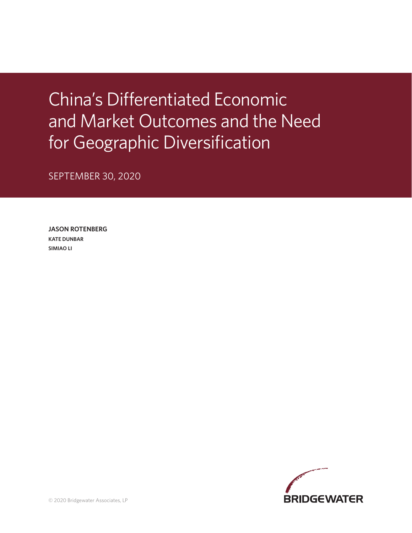China's Differentiated Economic and Market Outcomes and the Need for Geographic Diversification

SEPTEMBER 30, 2020

**JASON ROTENBERG KATE DUNBAR SIMIAO LI**

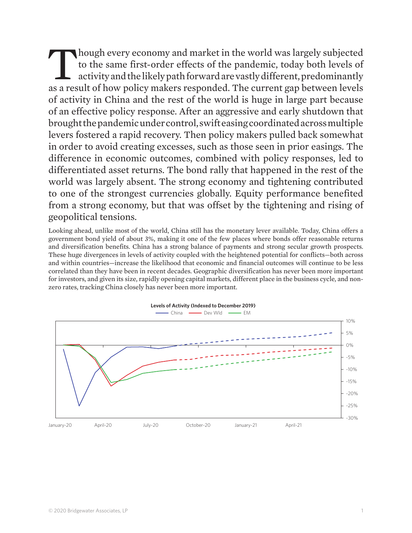Though every economy and market in the world was largely subjected to the same first-order effects of the pandemic, today both levels of activity and the likely path forward are vastly different, predominantly as a result of how policy makers responded. The current gap between levels of activity in China and the rest of the world is huge in large part because of an effective policy response. After an aggressive and early shutdown that brought the pandemic under control, swift easing coordinated across multiple levers fostered a rapid recovery. Then policy makers pulled back somewhat in order to avoid creating excesses, such as those seen in prior easings. The difference in economic outcomes, combined with policy responses, led to differentiated asset returns. The bond rally that happened in the rest of the world was largely absent. The strong economy and tightening contributed to one of the strongest currencies globally. Equity performance benefited from a strong economy, but that was offset by the tightening and rising of geopolitical tensions.

Looking ahead, unlike most of the world, China still has the monetary lever available. Today, China offers a government bond yield of about 3%, making it one of the few places where bonds offer reasonable returns and diversification benefits. China has a strong balance of payments and strong secular growth prospects. These huge divergences in levels of activity coupled with the heightened potential for conflicts—both across and within countries—increase the likelihood that economic and financial outcomes will continue to be less correlated than they have been in recent decades. Geographic diversification has never been more important for investors, and given its size, rapidly opening capital markets, different place in the business cycle, and nonzero rates, tracking China closely has never been more important.



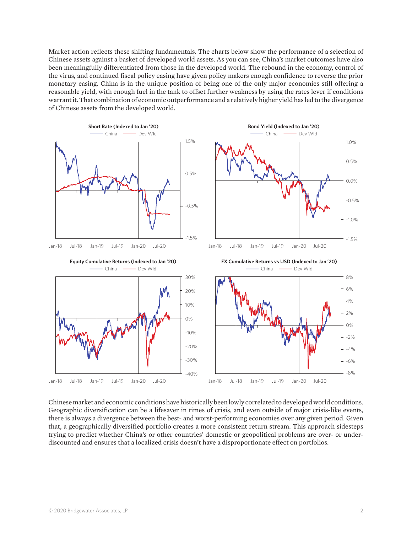Market action reflects these shifting fundamentals. The charts below show the performance of a selection of Chinese assets against a basket of developed world assets. As you can see, China's market outcomes have also been meaningfully differentiated from those in the developed world. The rebound in the economy, control of the virus, and continued fiscal policy easing have given policy makers enough confidence to reverse the prior monetary easing. China is in the unique position of being one of the only major economies still offering a reasonable yield, with enough fuel in the tank to offset further weakness by using the rates lever if conditions warrant it. That combination of economic outperformance and a relatively higher yield has led to the divergence of Chinese assets from the developed world.



Chinese market and economic conditions have historically been lowly correlated to developed world conditions. Geographic diversification can be a lifesaver in times of crisis, and even outside of major crisis-like events, there is always a divergence between the best- and worst-performing economies over any given period. Given that, a geographically diversified portfolio creates a more consistent return stream. This approach sidesteps trying to predict whether China's or other countries' domestic or geopolitical problems are over- or underdiscounted and ensures that a localized crisis doesn't have a disproportionate effect on portfolios.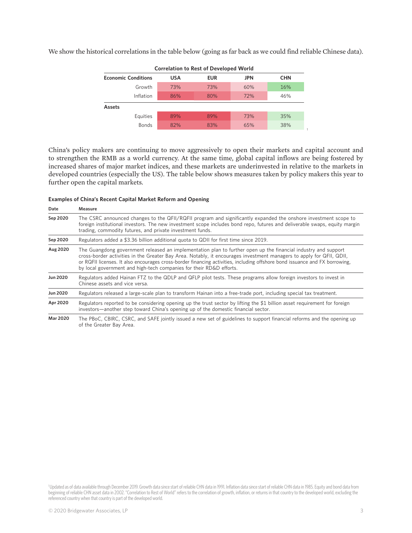We show the historical correlations in the table below (going as far back as we could find reliable Chinese data).



China's policy makers are continuing to move aggressively to open their markets and capital account and to strengthen the RMB as a world currency. At the same time, global capital inflows are being fostered by increased shares of major market indices, and these markets are underinvested in relative to the markets in developed countries (especially the US). The table below shows measures taken by policy makers this year to further open the capital markets.

| Examples of China's Recent Capital Market Reform and Opening |  |
|--------------------------------------------------------------|--|
|--------------------------------------------------------------|--|

| Date            | Measure                                                                                                                                                                                                                                                                                                                                                                                                                                      |
|-----------------|----------------------------------------------------------------------------------------------------------------------------------------------------------------------------------------------------------------------------------------------------------------------------------------------------------------------------------------------------------------------------------------------------------------------------------------------|
| Sep 2020        | The CSRC announced changes to the QFII/RQFII program and significantly expanded the onshore investment scope to<br>foreign institutional investors. The new investment scope includes bond repo, futures and deliverable swaps, equity margin<br>trading, commodity futures, and private investment funds.                                                                                                                                   |
| Sep 2020        | Regulators added a \$3.36 billion additional quota to QDII for first time since 2019.                                                                                                                                                                                                                                                                                                                                                        |
| Aug 2020        | The Guangdong government released an implementation plan to further open up the financial industry and support<br>cross-border activities in the Greater Bay Area. Notably, it encourages investment managers to apply for QFII, QDII,<br>or RQFII licenses. It also encourages cross-border financing activities, including offshore bond issuance and FX borrowing,<br>by local government and high-tech companies for their RD&D efforts. |
| Jun 2020        | Regulators added Hainan FTZ to the QDLP and QFLP pilot tests. These programs allow foreign investors to invest in<br>Chinese assets and vice versa.                                                                                                                                                                                                                                                                                          |
| Jun 2020        | Regulators released a large-scale plan to transform Hainan into a free-trade port, including special tax treatment.                                                                                                                                                                                                                                                                                                                          |
| Apr 2020        | Regulators reported to be considering opening up the trust sector by lifting the \$1 billion asset requirement for foreign<br>investors—another step toward China's opening up of the domestic financial sector.                                                                                                                                                                                                                             |
| <b>Mar 2020</b> | The PBoC, CBIRC, CSRC, and SAFE jointly issued a new set of guidelines to support financial reforms and the opening up                                                                                                                                                                                                                                                                                                                       |

of the Greater Bay Area.

<sup>1</sup>Updated as of data available through December 2019. Growth data since start of reliable CHN data in 1991. Inflation data since start of reliable CHN data in 1985. Equity and bond data from beginning of reliable CHN asset data in 2002. "Correlation to Rest of World" refers to the correlation of growth, inflation, or returns in that country to the developed world, excluding the referenced country when that country is part of the developed world.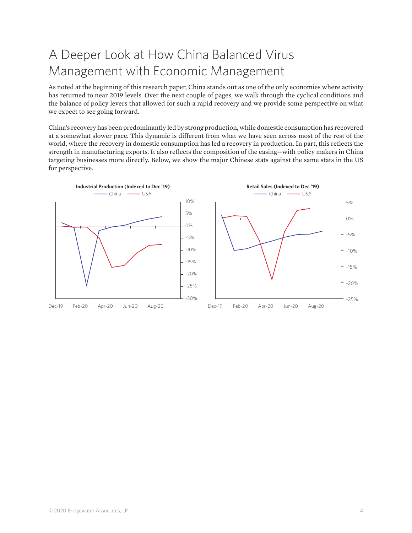# A Deeper Look at How China Balanced Virus Management with Economic Management

As noted at the beginning of this research paper, China stands out as one of the only economies where activity has returned to near 2019 levels. Over the next couple of pages, we walk through the cyclical conditions and the balance of policy levers that allowed for such a rapid recovery and we provide some perspective on what we expect to see going forward.

China's recovery has been predominantly led by strong production, while domestic consumption has recovered at a somewhat slower pace. This dynamic is different from what we have seen across most of the rest of the world, where the recovery in domestic consumption has led a recovery in production. In part, this reflects the strength in manufacturing exports. It also reflects the composition of the easing—with policy makers in China targeting businesses more directly. Below, we show the major Chinese stats against the same stats in the US for perspective.

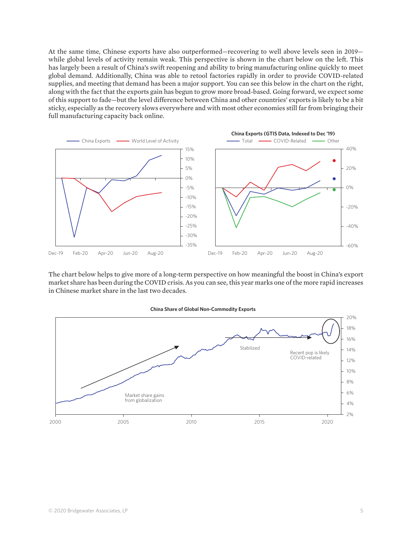At the same time, Chinese exports have also outperformed—recovering to well above levels seen in 2019 while global levels of activity remain weak. This perspective is shown in the chart below on the left. This has largely been a result of China's swift reopening and ability to bring manufacturing online quickly to meet global demand. Additionally, China was able to retool factories rapidly in order to provide COVID-related supplies, and meeting that demand has been a major support. You can see this below in the chart on the right, along with the fact that the exports gain has begun to grow more broad-based. Going forward, we expect some of this support to fade—but the level difference between China and other countries' exports is likely to be a bit sticky, especially as the recovery slows everywhere and with most other economies still far from bringing their full manufacturing capacity back online.



The chart below helps to give more of a long-term perspective on how meaningful the boost in China's export market share has been during the COVID crisis. As you can see, this year marks one of the more rapid increases in Chinese market share in the last two decades.

#### **China Share of Global Non-Commodity Exports**

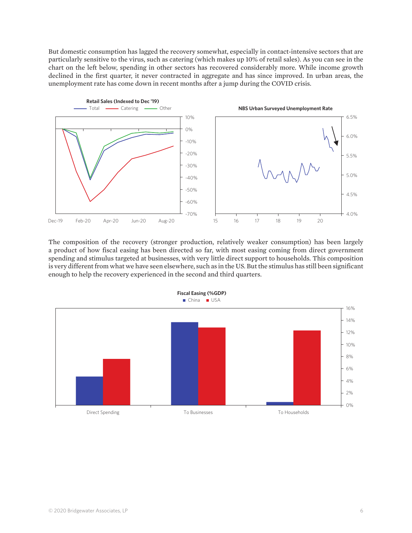But domestic consumption has lagged the recovery somewhat, especially in contact-intensive sectors that are particularly sensitive to the virus, such as catering (which makes up 10% of retail sales). As you can see in the chart on the left below, spending in other sectors has recovered considerably more. While income growth declined in the first quarter, it never contracted in aggregate and has since improved. In urban areas, the unemployment rate has come down in recent months after a jump during the COVID crisis.



The composition of the recovery (stronger production, relatively weaker consumption) has been largely a product of how fiscal easing has been directed so far, with most easing coming from direct government spending and stimulus targeted at businesses, with very little direct support to households. This composition is very different from what we have seen elsewhere, such as in the US. But the stimulus has still been significant enough to help the recovery experienced in the second and third quarters.

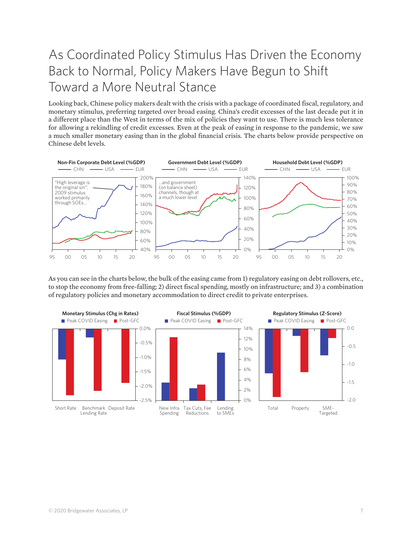# As Coordinated Policy Stimulus Has Driven the Economy Back to Normal, Policy Makers Have Begun to Shift Toward a More Neutral Stance

Looking back, Chinese policy makers dealt with the crisis with a package of coordinated fiscal, regulatory, and monetary stimulus, preferring targeted over broad easing. China's credit excesses of the last decade put it in a different place than the West in terms of the mix of policies they want to use. There is much less tolerance for allowing a rekindling of credit excesses. Even at the peak of easing in response to the pandemic, we saw a much smaller monetary easing than in the global financial crisis. The charts below provide perspective on Chinese debt levels.



As you can see in the charts below, the bulk of the easing came from 1) regulatory easing on debt rollovers, etc., to stop the economy from free-falling; 2) direct fiscal spending, mostly on infrastructure; and 3) a combination of regulatory policies and monetary accommodation to direct credit to private enterprises.

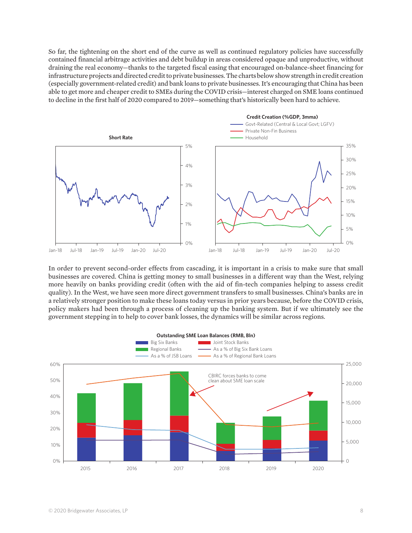So far, the tightening on the short end of the curve as well as continued regulatory policies have successfully contained financial arbitrage activities and debt buildup in areas considered opaque and unproductive, without draining the real economy—thanks to the targeted fiscal easing that encouraged on-balance-sheet financing for infrastructure projects and directed credit to private businesses. The charts below show strength in credit creation (especially government-related credit) and bank loans to private businesses. It's encouraging that China has been able to get more and cheaper credit to SMEs during the COVID crisis—interest charged on SME loans continued to decline in the first half of 2020 compared to 2019—something that's historically been hard to achieve.



In order to prevent second-order effects from cascading, it is important in a crisis to make sure that small businesses are covered. China is getting money to small businesses in a different way than the West, relying more heavily on banks providing credit (often with the aid of fin-tech companies helping to assess credit quality). In the West, we have seen more direct government transfers to small businesses. China's banks are in a relatively stronger position to make these loans today versus in prior years because, before the COVID crisis, policy makers had been through a process of cleaning up the banking system. But if we ultimately see the government stepping in to help to cover bank losses, the dynamics will be similar across regions.

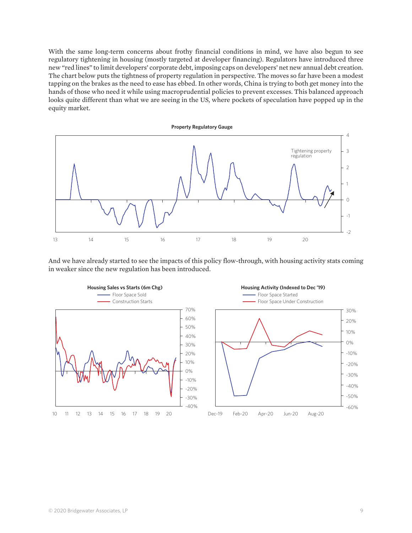With the same long-term concerns about frothy financial conditions in mind, we have also begun to see regulatory tightening in housing (mostly targeted at developer financing). Regulators have introduced three new "red lines" to limit developers' corporate debt, imposing caps on developers' net new annual debt creation. The chart below puts the tightness of property regulation in perspective. The moves so far have been a modest tapping on the brakes as the need to ease has ebbed. In other words, China is trying to both get money into the hands of those who need it while using macroprudential policies to prevent excesses. This balanced approach looks quite different than what we are seeing in the US, where pockets of speculation have popped up in the equity market.



And we have already started to see the impacts of this policy flow-through, with housing activity stats coming in weaker since the new regulation has been introduced.



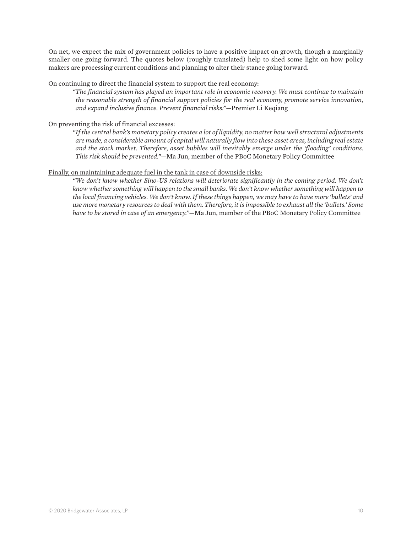On net, we expect the mix of government policies to have a positive impact on growth, though a marginally smaller one going forward. The quotes below (roughly translated) help to shed some light on how policy makers are processing current conditions and planning to alter their stance going forward.

### On continuing to direct the financial system to support the real economy:

*"The financial system has played an important role in economic recovery. We must continue to maintain the reasonable strength of financial support policies for the real economy, promote service innovation, and expand inclusive finance. Prevent financial risks."*—Premier Li Keqiang

## On preventing the risk of financial excesses:

*"If the central bank's monetary policy creates a lot of liquidity, no matter how well structural adjustments are made, a considerable amount of capital will naturally flow into these asset areas, including real estate and the stock market. Therefore, asset bubbles will inevitably emerge under the 'flooding' conditions. This risk should be prevented."*—Ma Jun, member of the PBoC Monetary Policy Committee

## Finally, on maintaining adequate fuel in the tank in case of downside risks:

*"We don't know whether Sino-US relations will deteriorate significantly in the coming period. We don't know whether something will happen to the small banks. We don't know whether something will happen to the local financing vehicles. We don't know. If these things happen, we may have to have more 'bullets' and use more monetary resources to deal with them. Therefore, it is impossible to exhaust all the 'bullets.' Some have to be stored in case of an emergency."*—Ma Jun, member of the PBoC Monetary Policy Committee